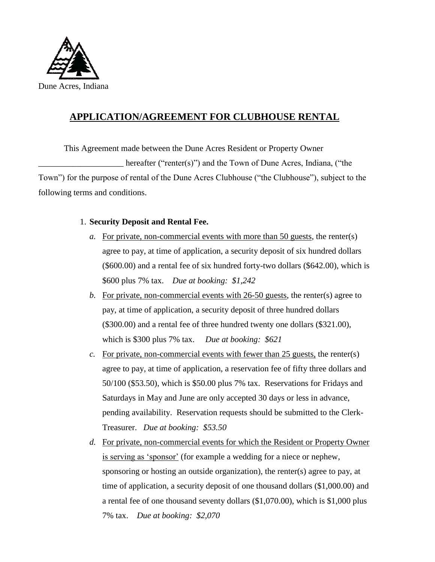

## **APPLICATION/AGREEMENT FOR CLUBHOUSE RENTAL**

This Agreement made between the Dune Acres Resident or Property Owner hereafter ("renter(s)") and the Town of Dune Acres, Indiana, ("the Town") for the purpose of rental of the Dune Acres Clubhouse ("the Clubhouse"), subject to the following terms and conditions.

## 1. **Security Deposit and Rental Fee.**

- *a.* For private, non-commercial events with more than 50 guests, the renter(s) agree to pay, at time of application, a security deposit of six hundred dollars (\$600.00) and a rental fee of six hundred forty-two dollars (\$642.00), which is \$600 plus 7% tax. *Due at booking: \$1,242*
- *b.* For private, non-commercial events with 26-50 guests, the renter(s) agree to pay, at time of application, a security deposit of three hundred dollars (\$300.00) and a rental fee of three hundred twenty one dollars (\$321.00), which is \$300 plus 7% tax. *Due at booking: \$621*
- *c.* For private, non-commercial events with fewer than 25 guests, the renter(s) agree to pay, at time of application, a reservation fee of fifty three dollars and 50/100 (\$53.50), which is \$50.00 plus 7% tax. Reservations for Fridays and Saturdays in May and June are only accepted 30 days or less in advance, pending availability. Reservation requests should be submitted to the Clerk-Treasurer. *Due at booking: \$53.50*
- *d.* For private, non-commercial events for which the Resident or Property Owner is serving as 'sponsor' (for example a wedding for a niece or nephew, sponsoring or hosting an outside organization), the renter(s) agree to pay, at time of application, a security deposit of one thousand dollars (\$1,000.00) and a rental fee of one thousand seventy dollars (\$1,070.00), which is \$1,000 plus 7% tax. *Due at booking: \$2,070*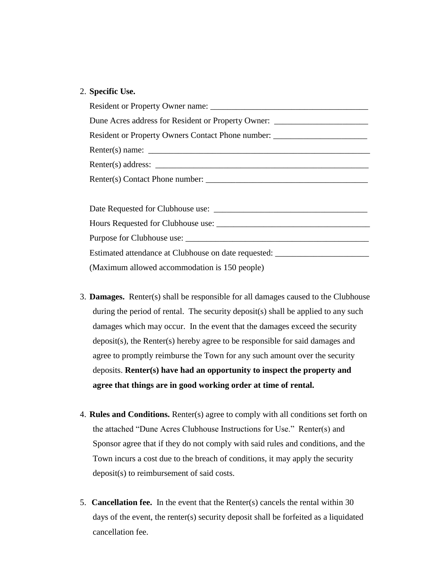## 2. **Specific Use.**

| Dune Acres address for Resident or Property Owner: _____________________________ |
|----------------------------------------------------------------------------------|
| Resident or Property Owners Contact Phone number: ______________________________ |
|                                                                                  |
|                                                                                  |
|                                                                                  |
|                                                                                  |
|                                                                                  |
|                                                                                  |
|                                                                                  |
| Estimated attendance at Clubhouse on date requested: ___________________________ |
| (Maximum allowed accommodation is 150 people)                                    |

- 3. **Damages.** Renter(s) shall be responsible for all damages caused to the Clubhouse during the period of rental. The security deposit(s) shall be applied to any such damages which may occur. In the event that the damages exceed the security deposit(s), the Renter(s) hereby agree to be responsible for said damages and agree to promptly reimburse the Town for any such amount over the security deposits. **Renter(s) have had an opportunity to inspect the property and agree that things are in good working order at time of rental.**
- 4. **Rules and Conditions.** Renter(s) agree to comply with all conditions set forth on the attached "Dune Acres Clubhouse Instructions for Use." Renter(s) and Sponsor agree that if they do not comply with said rules and conditions, and the Town incurs a cost due to the breach of conditions, it may apply the security deposit(s) to reimbursement of said costs.
- 5. **Cancellation fee.** In the event that the Renter(s) cancels the rental within 30 days of the event, the renter(s) security deposit shall be forfeited as a liquidated cancellation fee.